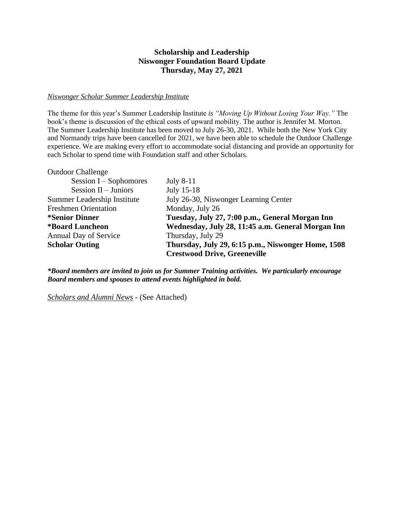## **Scholarship and Leadership Niswonger Foundation Board Update Thursday, May 27, 2021**

## *Niswonger Scholar Summer Leadership Institute*

The theme for this year's Summer Leadership Institute *is "Moving Up Without Losing Your Way."* The book's theme is discussion of the ethical costs of upward mobility. The author is Jennifer M. Morton. The Summer Leadership Institute has been moved to July 26-30, 2021. While both the New York City and Normandy trips have been cancelled for 2021, we have been able to schedule the Outdoor Challenge experience. We are making every effort to accommodate social distancing and provide an opportunity for each Scholar to spend time with Foundation staff and other Scholars.

| <b>Outdoor Challenge</b>     |                                                    |
|------------------------------|----------------------------------------------------|
| Session $I -$ Sophomores     | <b>July 8-11</b>                                   |
| Session $II - J$ uniors      | July 15-18                                         |
| Summer Leadership Institute  | July 26-30, Niswonger Learning Center              |
| <b>Freshmen Orientation</b>  | Monday, July 26                                    |
| <i>*Senior Dinner</i>        | Tuesday, July 27, 7:00 p.m., General Morgan Inn    |
| <b>*Board Luncheon</b>       | Wednesday, July 28, 11:45 a.m. General Morgan Inn  |
| <b>Annual Day of Service</b> | Thursday, July 29                                  |
| <b>Scholar Outing</b>        | Thursday, July 29, 6:15 p.m., Niswonger Home, 1508 |
|                              | <b>Crestwood Drive, Greeneville</b>                |

*\*Board members are invited to join us for Summer Training activities. We particularly encourage Board members and spouses to attend events highlighted in bold.*

*Scholars and Alumni News* - (See Attached)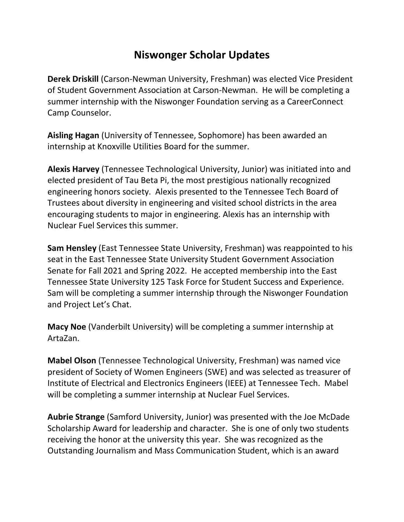## **Niswonger Scholar Updates**

**Derek Driskill** (Carson-Newman University, Freshman) was elected Vice President of Student Government Association at Carson-Newman. He will be completing a summer internship with the Niswonger Foundation serving as a CareerConnect Camp Counselor.

**Aisling Hagan** (University of Tennessee, Sophomore) has been awarded an internship at Knoxville Utilities Board for the summer.

**Alexis Harvey** (Tennessee Technological University, Junior) was initiated into and elected president of Tau Beta Pi, the most prestigious nationally recognized engineering honors society. Alexis presented to the Tennessee Tech Board of Trustees about diversity in engineering and visited school districts in the area encouraging students to major in engineering. Alexis has an internship with Nuclear Fuel Services this summer.

**Sam Hensley** (East Tennessee State University, Freshman) was reappointed to his seat in the East Tennessee State University Student Government Association Senate for Fall 2021 and Spring 2022. He accepted membership into the East Tennessee State University 125 Task Force for Student Success and Experience. Sam will be completing a summer internship through the Niswonger Foundation and Project Let's Chat.

**Macy Noe** (Vanderbilt University) will be completing a summer internship at ArtaZan.

**Mabel Olson** (Tennessee Technological University, Freshman) was named vice president of Society of Women Engineers (SWE) and was selected as treasurer of Institute of Electrical and Electronics Engineers (IEEE) at Tennessee Tech. Mabel will be completing a summer internship at Nuclear Fuel Services.

**Aubrie Strange** (Samford University, Junior) was presented with the Joe McDade Scholarship Award for leadership and character. She is one of only two students receiving the honor at the university this year. She was recognized as the Outstanding Journalism and Mass Communication Student, which is an award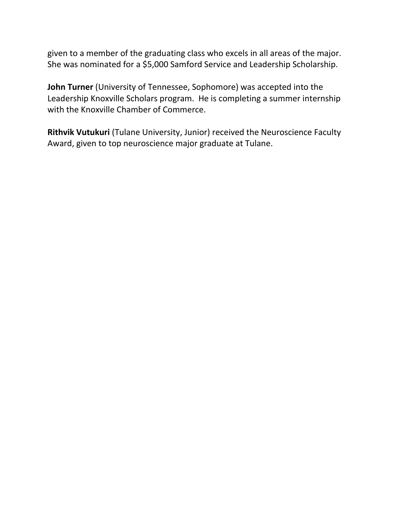given to a member of the graduating class who excels in all areas of the major. She was nominated for a \$5,000 Samford Service and Leadership Scholarship.

**John Turner** (University of Tennessee, Sophomore) was accepted into the Leadership Knoxville Scholars program. He is completing a summer internship with the Knoxville Chamber of Commerce.

**Rithvik Vutukuri** (Tulane University, Junior) received the Neuroscience Faculty Award, given to top neuroscience major graduate at Tulane.